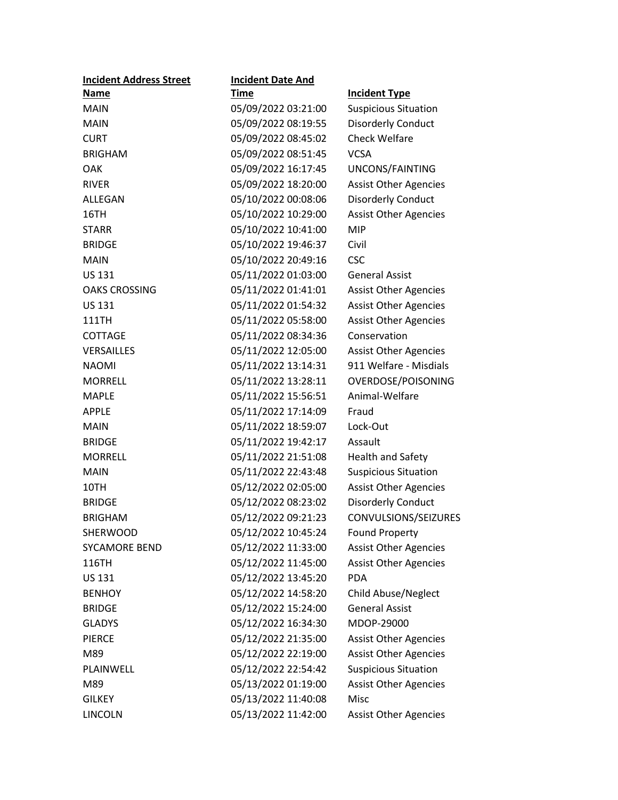| <b>Incident Address Street</b> | <b>Incident Date And</b> |                              |
|--------------------------------|--------------------------|------------------------------|
| <b>Name</b>                    | <u>Time</u>              | <b>Incident Type</b>         |
| <b>MAIN</b>                    | 05/09/2022 03:21:00      | <b>Suspicious Situation</b>  |
| <b>MAIN</b>                    | 05/09/2022 08:19:55      | <b>Disorderly Conduct</b>    |
| <b>CURT</b>                    | 05/09/2022 08:45:02      | <b>Check Welfare</b>         |
| <b>BRIGHAM</b>                 | 05/09/2022 08:51:45      | <b>VCSA</b>                  |
| OAK                            | 05/09/2022 16:17:45      | UNCONS/FAINTING              |
| <b>RIVER</b>                   | 05/09/2022 18:20:00      | <b>Assist Other Agencies</b> |
| ALLEGAN                        | 05/10/2022 00:08:06      | <b>Disorderly Conduct</b>    |
| 16TH                           | 05/10/2022 10:29:00      | <b>Assist Other Agencies</b> |
| <b>STARR</b>                   | 05/10/2022 10:41:00      | <b>MIP</b>                   |
| <b>BRIDGE</b>                  | 05/10/2022 19:46:37      | Civil                        |
| <b>MAIN</b>                    | 05/10/2022 20:49:16      | <b>CSC</b>                   |
| <b>US 131</b>                  | 05/11/2022 01:03:00      | <b>General Assist</b>        |
| <b>OAKS CROSSING</b>           | 05/11/2022 01:41:01      | <b>Assist Other Agencies</b> |
| <b>US 131</b>                  | 05/11/2022 01:54:32      | <b>Assist Other Agencies</b> |
| <b>111TH</b>                   | 05/11/2022 05:58:00      | <b>Assist Other Agencies</b> |
| <b>COTTAGE</b>                 | 05/11/2022 08:34:36      | Conservation                 |
| <b>VERSAILLES</b>              | 05/11/2022 12:05:00      | <b>Assist Other Agencies</b> |
| <b>NAOMI</b>                   | 05/11/2022 13:14:31      | 911 Welfare - Misdials       |
| <b>MORRELL</b>                 | 05/11/2022 13:28:11      | OVERDOSE/POISONING           |
| <b>MAPLE</b>                   | 05/11/2022 15:56:51      | Animal-Welfare               |
| <b>APPLE</b>                   | 05/11/2022 17:14:09      | Fraud                        |
| <b>MAIN</b>                    | 05/11/2022 18:59:07      | Lock-Out                     |
| <b>BRIDGE</b>                  | 05/11/2022 19:42:17      | Assault                      |
| <b>MORRELL</b>                 | 05/11/2022 21:51:08      | <b>Health and Safety</b>     |
| <b>MAIN</b>                    | 05/11/2022 22:43:48      | <b>Suspicious Situation</b>  |
| 10TH                           | 05/12/2022 02:05:00      | <b>Assist Other Agencies</b> |
| <b>BRIDGE</b>                  | 05/12/2022 08:23:02      | <b>Disorderly Conduct</b>    |
| <b>BRIGHAM</b>                 | 05/12/2022 09:21:23      | CONVULSIONS/SEIZURES         |
| <b>SHERWOOD</b>                | 05/12/2022 10:45:24      | <b>Found Property</b>        |
| <b>SYCAMORE BEND</b>           | 05/12/2022 11:33:00      | <b>Assist Other Agencies</b> |
| 116TH                          | 05/12/2022 11:45:00      | <b>Assist Other Agencies</b> |
| <b>US 131</b>                  | 05/12/2022 13:45:20      | <b>PDA</b>                   |
| <b>BENHOY</b>                  | 05/12/2022 14:58:20      | Child Abuse/Neglect          |
| <b>BRIDGE</b>                  | 05/12/2022 15:24:00      | <b>General Assist</b>        |
| <b>GLADYS</b>                  | 05/12/2022 16:34:30      | MDOP-29000                   |
| <b>PIERCE</b>                  | 05/12/2022 21:35:00      | <b>Assist Other Agencies</b> |
| M89                            | 05/12/2022 22:19:00      | <b>Assist Other Agencies</b> |
| PLAINWELL                      | 05/12/2022 22:54:42      | <b>Suspicious Situation</b>  |
| M89                            | 05/13/2022 01:19:00      | <b>Assist Other Agencies</b> |
| <b>GILKEY</b>                  | 05/13/2022 11:40:08      | Misc                         |
| <b>LINCOLN</b>                 | 05/13/2022 11:42:00      | <b>Assist Other Agencies</b> |
|                                |                          |                              |